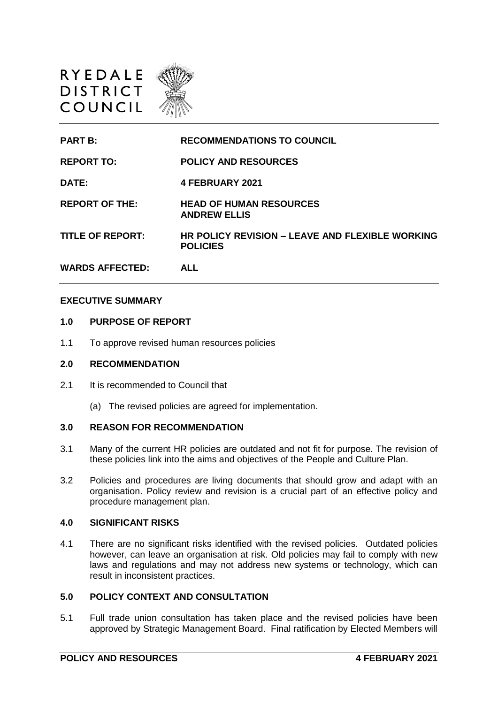



## **EXECUTIVE SUMMARY**

#### **1.0 PURPOSE OF REPORT**

1.1 To approve revised human resources policies

## **2.0 RECOMMENDATION**

- 2.1 It is recommended to Council that
	- (a) The revised policies are agreed for implementation.

# **3.0 REASON FOR RECOMMENDATION**

- 3.1 Many of the current HR policies are outdated and not fit for purpose. The revision of these policies link into the aims and objectives of the People and Culture Plan.
- 3.2 Policies and procedures are living documents that should grow and adapt with an organisation. Policy review and revision is a crucial part of an effective policy and procedure management plan.

# **4.0 SIGNIFICANT RISKS**

4.1 There are no significant risks identified with the revised policies. Outdated policies however, can leave an organisation at risk. Old policies may fail to comply with new laws and regulations and may not address new systems or technology, which can result in inconsistent practices.

# **5.0 POLICY CONTEXT AND CONSULTATION**

5.1 Full trade union consultation has taken place and the revised policies have been approved by Strategic Management Board. Final ratification by Elected Members will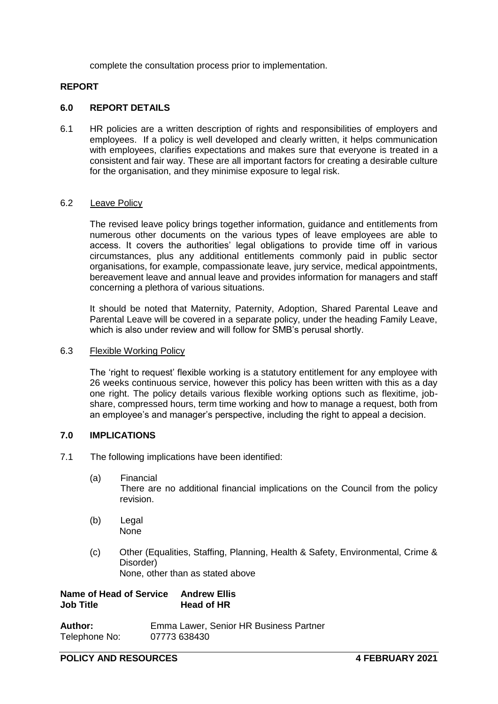complete the consultation process prior to implementation.

# **REPORT**

# **6.0 REPORT DETAILS**

6.1 HR policies are a written description of rights and responsibilities of employers and employees. If a policy is well developed and clearly written, it helps communication with employees, clarifies expectations and makes sure that everyone is treated in a consistent and fair way. These are all important factors for creating a desirable culture for the organisation, and they minimise exposure to legal risk.

## 6.2 Leave Policy

The revised leave policy brings together information, guidance and entitlements from numerous other documents on the various types of leave employees are able to access. It covers the authorities' legal obligations to provide time off in various circumstances, plus any additional entitlements commonly paid in public sector organisations, for example, compassionate leave, jury service, medical appointments, bereavement leave and annual leave and provides information for managers and staff concerning a plethora of various situations.

It should be noted that Maternity, Paternity, Adoption, Shared Parental Leave and Parental Leave will be covered in a separate policy, under the heading Family Leave, which is also under review and will follow for SMB's perusal shortly.

#### 6.3 Flexible Working Policy

The 'right to request' flexible working is a statutory entitlement for any employee with 26 weeks continuous service, however this policy has been written with this as a day one right. The policy details various flexible working options such as flexitime, jobshare, compressed hours, term time working and how to manage a request, both from an employee's and manager's perspective, including the right to appeal a decision.

## **7.0 IMPLICATIONS**

- 7.1 The following implications have been identified:
	- (a) Financial There are no additional financial implications on the Council from the policy revision.
	- (b) Legal None
	- (c) Other (Equalities, Staffing, Planning, Health & Safety, Environmental, Crime & Disorder) None, other than as stated above

# **Name of Head of Service Andrew Ellis Job Title Head of HR**

| <b>Author:</b> | Emma Lawer, Senior HR Business Partner |
|----------------|----------------------------------------|
| Telephone No:  | 07773 638430                           |